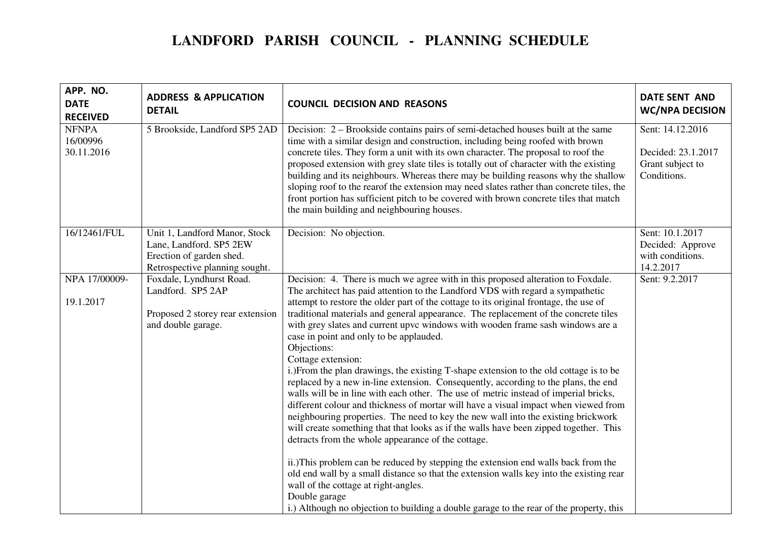## **LANDFORD PARISH COUNCIL - PLANNING SCHEDULE**

| APP. NO.<br><b>DATE</b><br><b>RECEIVED</b> | <b>ADDRESS &amp; APPLICATION</b><br><b>DETAIL</b>                                                                      | <b>COUNCIL DECISION AND REASONS</b>                                                                                                                                                                                                                                                                                                                                                                                                                                                                                                                                                                                                                                                                                                                                                                                                                                                                                                                                                                                                                                                                                                                                                                                                                                                                                                                                                                                                                          | <b>DATE SENT AND</b><br><b>WC/NPA DECISION</b>                            |
|--------------------------------------------|------------------------------------------------------------------------------------------------------------------------|--------------------------------------------------------------------------------------------------------------------------------------------------------------------------------------------------------------------------------------------------------------------------------------------------------------------------------------------------------------------------------------------------------------------------------------------------------------------------------------------------------------------------------------------------------------------------------------------------------------------------------------------------------------------------------------------------------------------------------------------------------------------------------------------------------------------------------------------------------------------------------------------------------------------------------------------------------------------------------------------------------------------------------------------------------------------------------------------------------------------------------------------------------------------------------------------------------------------------------------------------------------------------------------------------------------------------------------------------------------------------------------------------------------------------------------------------------------|---------------------------------------------------------------------------|
| <b>NFNPA</b><br>16/00996<br>30.11.2016     | 5 Brookside, Landford SP5 2AD                                                                                          | Decision: 2 – Brookside contains pairs of semi-detached houses built at the same<br>time with a similar design and construction, including being roofed with brown<br>concrete tiles. They form a unit with its own character. The proposal to roof the<br>proposed extension with grey slate tiles is totally out of character with the existing<br>building and its neighbours. Whereas there may be building reasons why the shallow<br>sloping roof to the rearof the extension may need slates rather than concrete tiles, the<br>front portion has sufficient pitch to be covered with brown concrete tiles that match<br>the main building and neighbouring houses.                                                                                                                                                                                                                                                                                                                                                                                                                                                                                                                                                                                                                                                                                                                                                                                   | Sent: 14.12.2016<br>Decided: 23.1.2017<br>Grant subject to<br>Conditions. |
| 16/12461/FUL                               | Unit 1, Landford Manor, Stock<br>Lane, Landford. SP5 2EW<br>Erection of garden shed.<br>Retrospective planning sought. | Decision: No objection.                                                                                                                                                                                                                                                                                                                                                                                                                                                                                                                                                                                                                                                                                                                                                                                                                                                                                                                                                                                                                                                                                                                                                                                                                                                                                                                                                                                                                                      | Sent: 10.1.2017<br>Decided: Approve<br>with conditions.<br>14.2.2017      |
| NPA 17/00009-<br>19.1.2017                 | Foxdale, Lyndhurst Road.<br>Landford. SP5 2AP<br>Proposed 2 storey rear extension<br>and double garage.                | Decision: 4. There is much we agree with in this proposed alteration to Foxdale.<br>The architect has paid attention to the Landford VDS with regard a sympathetic<br>attempt to restore the older part of the cottage to its original frontage, the use of<br>traditional materials and general appearance. The replacement of the concrete tiles<br>with grey slates and current upvc windows with wooden frame sash windows are a<br>case in point and only to be applauded.<br>Objections:<br>Cottage extension:<br>i.) From the plan drawings, the existing T-shape extension to the old cottage is to be<br>replaced by a new in-line extension. Consequently, according to the plans, the end<br>walls will be in line with each other. The use of metric instead of imperial bricks,<br>different colour and thickness of mortar will have a visual impact when viewed from<br>neighbouring properties. The need to key the new wall into the existing brickwork<br>will create something that that looks as if the walls have been zipped together. This<br>detracts from the whole appearance of the cottage.<br>ii.) This problem can be reduced by stepping the extension end walls back from the<br>old end wall by a small distance so that the extension walls key into the existing rear<br>wall of the cottage at right-angles.<br>Double garage<br>i.) Although no objection to building a double garage to the rear of the property, this | Sent: 9.2.2017                                                            |